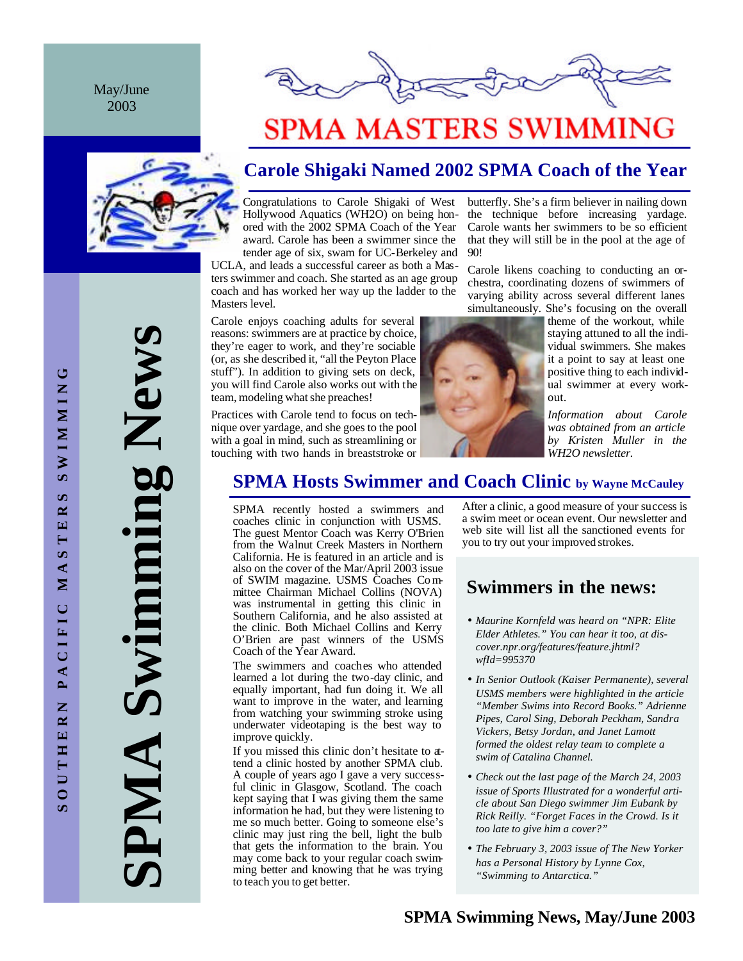May/June 2003





# **SPMA MASTERS SWIMMING**

## **Carole Shigaki Named 2002 SPMA Coach of the Year**

90!

Congratulations to Carole Shigaki of West Hollywood Aquatics (WH2O) on being honored with the 2002 SPMA Coach of the Year award. Carole has been a swimmer since the tender age of six, swam for UC-Berkeley and

UCLA, and leads a successful career as both a Masters swimmer and coach. She started as an age group coach and has worked her way up the ladder to the Masters level.

Carole enjoys coaching adults for several reasons: swimmers are at practice by choice, they're eager to work, and they're sociable (or, as she described it, "all the Peyton Place stuff"). In addition to giving sets on deck, you will find Carole also works out with the team, modeling what she preaches!

Practices with Carole tend to focus on technique over yardage, and she goes to the pool with a goal in mind, such as streamlining or touching with two hands in breaststroke or



butterfly. She's a firm believer in nailing down the technique before increasing yardage. Carole wants her swimmers to be so efficient that they will still be in the pool at the age of



theme of the workout, while staying attuned to all the individual swimmers. She makes it a point to say at least one positive thing to each individual swimmer at every workout.

*Information about Carole was obtained from an article by Kristen Muller in the WH2O newsletter.*

## **SPMA Hosts Swimmer and Coach Clinic by Wayne McCauley**

SPMA recently hosted a swimmers and coaches clinic in conjunction with USMS. The guest Mentor Coach was Kerry O'Brien from the Walnut Creek Masters in Northern California. He is featured in an article and is also on the cover of the Mar/April 2003 issue of SWIM magazine. USMS Coaches Committee Chairman Michael Collins (NOVA) was instrumental in getting this clinic in Southern California, and he also assisted at the clinic. Both Michael Collins and Kerry O'Brien are past winners of the USMS Coach of the Year Award.

The swimmers and coaches who attended learned a lot during the two-day clinic, and equally important, had fun doing it. We all want to improve in the water, and learning from watching your swimming stroke using underwater videotaping is the best way to improve quickly.

If you missed this clinic don't hesitate to attend a clinic hosted by another SPMA club. A couple of years ago I gave a very successful clinic in Glasgow, Scotland. The coach kept saying that I was giving them the same information he had, but they were listening to me so much better. Going to someone else's clinic may just ring the bell, light the bulb that gets the information to the brain. You may come back to your regular coach swimming better and knowing that he was trying to teach you to get better.

After a clinic, a good measure of your success is a swim meet or ocean event. Our newsletter and web site will list all the sanctioned events for you to try out your improved strokes.

## **Swimmers in the news:**

- *Maurine Kornfeld was heard on "NPR: Elite Elder Athletes." You can hear it too, at discover.npr.org/features/feature.jhtml? wfId=995370*
- *In Senior Outlook (Kaiser Permanente), several USMS members were highlighted in the article "Member Swims into Record Books." Adrienne Pipes, Carol Sing, Deborah Peckham, Sandra Vickers, Betsy Jordan, and Janet Lamott formed the oldest relay team to complete a swim of Catalina Channel.*
- *Check out the last page of the March 24, 2003 issue of Sports Illustrated for a wonderful article about San Diego swimmer Jim Eubank by Rick Reilly. "Forget Faces in the Crowd. Is it too late to give him a cover?"*
- *The February 3, 2003 issue of The New Yorker has a Personal History by Lynne Cox, "Swimming to Antarctica."*

**SPMA Swimming News** Swimming New AMP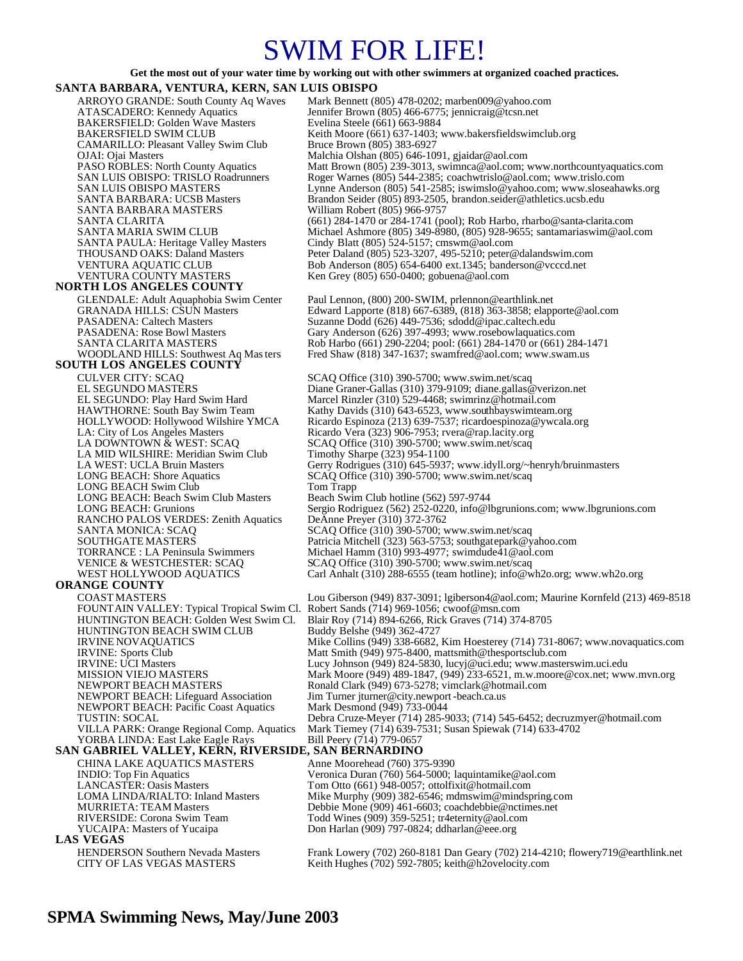## SWIM FOR LIFE!

#### **Get the most out of your water time by working out with other swimmers at organized coached practices.**

#### **SANTA BARBARA, VENTURA, KERN, SAN LUIS OBISPO**

BAKERSFIELD: Golden Wave Masters<br>BAKERSFIELD SWIM CLUB CAMARILLO: Pleasant Valley Swim Club SANTA BARBARA MASTERS<br>SANTA CLARITA (661) 284-1470 or 284-1741 (po

#### **NORTH LOS ANGELES COUNTY**

### **SOUTH LOS ANGELES COUNTY**

LA MID WILSHIRE: Meridian Swim Club<br>LA WEST: UCLA Bruin Masters LONG BEACH Swim Club<br>LONG BEACH: Beach Swim Club Masters LONG BEACH: Beach Swim Club Masters Beach Swim Club hotline (562) 597-9744<br>LONG BEACH: Grunions Sergio Rodriguez (562) 252-0220, info@ll RANCHO PALOS VERDES: Zenith Aquatics SANTA MONICA: SCAQ SCAQ SCAQ SCAQ SCAQ SCALL SCAQ Office (310) 390-5700; www.swim.net/scaq<br>SOUTHGATE MASTERS Patricia Mitchell (323) 563-5753; southgatepark@y SOUTHGATE MASTERS<br>
TORRANCE : LA Peninsula Swimmers Michael Hamm (310) 993-4977; swimdude41@aol.com TORRANCE : LA Peninsula Swimmers Michael Hamm (310) 993-4977; swimdude41@aol.com<br>VENICE & WESTCHESTER: SCAQ SCAQ Office (310) 390-5700; www.swim.net/scaq VENICE & WESTCHESTER: SCAQ SCAQ Office (310) 390-5700; www.swim.net/scaq<br>WEST HOLLYWOOD AQUATICS Carl Anhalt (310) 288-6555 (team hotline); info@w

### **ORANGE COUNTY**

FOUNT AIN VALLEY: Typical Tropical Swim Cl.<br>HUNTINGTON BEACH: Golden West Swim Cl. HUNTINGTON BEACH SWIM CLUB IRVINE NOVAQUATICS NEWPORT BEACH: Pacific Coast Aquatics TUSTIN: SOCAL YORBA LINDA: East Lake Eagle Rays

### **SAN GABRIEL VALLEY, KERN, RIVERSIDE, SAN BERNARDINO**

CHINA LAKE AQUATICS MASTERS Anne Moorehead (760) 375-9390<br>INDIO: Top Fin Aquatics Veronica Duran (760) 564-5000; 1 **LAS VEGAS** 

ARROYO GRANDE: South County Aq Waves Mark Bennett (805) 478-0202; marben009@yahoo.com<br>ATASCADERO: Kennedy Aquatics Jennifer Brown (805) 466-6775; jennicraig@tcsn.net Jennifer Brown (805) 466-6775; jennicraig@tcsn.net<br>Evelina Steele (661) 663-9884 Keith Moore (661) 637-1403; www.bakersfieldswimclub.org<br>Bruce Brown (805) 383-6927 OJAI: Ojai Masters Malchia Olshan (805) 646-1091, gjaidar@aol.com PASO ROBLES: North County Aquatics Matt Brown (805) 239-3013, swimnca@aol.com; www.northcountyaquatics.com<br>SAN LUIS OBISPO: TRISLO Roadrunners Roger Warnes (805) 544-2385; coachwirislo@aol.com; www.trislo.com SAN LUIS OBISPO: TRISLO Roadrunners Roger Warnes (805) 544-2385; coachwtrislo@aol.com; www.trislo.com<br>SAN LUIS OBISPO MASTERS Lynne Anderson (805) 541-2585; iswimslo@yahoo.com; www.sloseaha SAN LUIS OBISPO MASTERS<br>
SANTA BARBARA: UCSB Masters Brandon Seider (805) 893-2505, brandon.seider@athletics.ucsb.edu<br>
Brandon Seider (805) 893-2505, brandon.seider@athletics.ucsb.edu Brandon Seider (805) 893-2505, brandon.seider@athletics.ucsb.edu SANTA CLARITA (661) 284-1470 or 284-1741 (pool); Rob Harbo, rharbo@santa-clarita.com SANTA MARIA SWIM CLUB Michael Ashmore (805) 349-8980, (805) 928-9655; santamariaswim@aol.com SANTA PAULA: Heritage Valley Masters Cindy Blatt (805) 524-5157; cmswm@aol.com<br>THOUSAND OAKS: Daland Masters Peter Daland (805) 523-3207, 495-5210; peter © THOUSAND OAKS: Daland Masters Peter Daland (805) 523-3207, 495-5210; peter @dalandswim.com<br>
Peter Daland (805) 523-3207, 495-5210; peter @dalandswim.com<br>
Peter Daland (805) 523-3207, 495-5210; peter @dalandswim.com VENTURA AQUATIC CLUB Bob Anderson (805) 654-6400 ext.1345; banderson@vcccd.net<br>VENTURA COUNTY MASTERS Ken Grey (805) 650-0400; gobuena@aol.com Ken Grey (805) 650-0400; gobuena@aol.com GLENDALE: Adult Aquaphobia Swim Center Paul Lennon, (800) 200-SWIM, prlennon@earthlink.net<br>GRANADA HILLS: CSUN Masters Edward Lapporte (818) 667-6389, (818) 363-3858; elapp GRANADA HILLS: CSUN Masters Edward Lapporte (818) 667-6389, (818) 363-3858; elapporte@aol.com<br>
PASADENA: Caltech Masters Suzanne Dodd (626) 449-7536; sdodd@ipac.caltech.edu PASADENA: Caltech Masters Suzanne Dodd (626) 449-7536; sdodd@ipac.caltech.edu<br>PASADENA: Rose Bowl Masters Gary Anderson (626) 397-4993; www.rosebowlaquatics. PASADENA: Rose Bowl Masters Gary Anderson (626) 397-4993; www.rosebowlaquatics.com<br>SANTA CLARITA MASTERS Rob Harbo (661) 290-2204; pool: (661) 284-1470 or (661) 28 SANTA CLARITA MASTERS Rob Harbo (661) 290-2204; pool: (661) 284-1470 or (661) 284-1471<br>WOODLAND HILLS: Southwest Aq Mas ters Fred Shaw (818) 347-1637; swamfred@aol.com; www.swam.us Fred Shaw (818) 347-1637; swamfred@aol.com; www.swam.us CULVER CITY: SCAQ SCAQ Office (310) 390-5700; www.swim.net/scaq<br>EL SEGUNDO MASTERS Diane Graner-Gallas (310) 379-9109; diane.gallas @ EL SEGUNDO MASTÈRS Diane Graner-Gallas (310) 379-9109; diane.gallas@verizon.net<br>EL SEGUNDO: Play Hard Swim Hard Marcel Rinzler (310) 529-4468; swimrinz@hotmail.com EL SEGUNDO: Play Hard Swim Hard Marcel Rinzler (310) 529-4468; swimrinz@hotmail.com<br>HAWTHORNE: South Bay Swim Team Kathy Davids (310) 643-6523, www.southbayswimteam. HAWTHORNE: South Bay Swim Team Kathy Davids (310) 643-6523, www.southbayswimteam.org HOLLYWOOD: Hollywood Wilshire YMCA Ricardo Espinoza (213) 639-7537; ricardoespinoza@ywcala.org LA: City of Los Angeles Masters Ricardo Vera (323) 906-7953; rvera@rap.lacity.org<br>LA DOWNTOWN & WEST: SCAQ SCAQ Office (310) 390-5700; www.swim.net/scaq SCAQ Office (310) 390-5700; www.swim.net/scaq<br>Timothy Sharpe (323) 954-1100 Gerry Rodrigues (310) 645-5937; www.idyll.org/~henryh/bruinmasters LONG BEACH: Shore Aquatics SCAQ Office (310) 390-5700; www.swim.net/scaq<br>
LONG BEACH Swim Club Tom Trapp

Sergio Rodriguez (562) 252-0220, info@lbgrunions.com; www.lbgrunions.com<br>DeAnne Preyer (310) 372-3762

Carl Anhalt (310) 288-6555 (team hotline); info@wh2o.org; www.wh2o.org

COAST MASTERS Lou Giberson (949) 837-3091; lgiberson4@aol.com; Maurine Kornfeld (213) 469-8518 Blair Roy (714) 894-6266, Rick Graves (714) 374-8705<br>Buddy Belshe (949) 362-4727 IRVINE NOVAQUATICS Mike Collins (949) 338-6682, Kim Hoesterey (714) 731-8067; www.novaquatics.com<br>IRVINE: Sports Club Matt Smith (949) 975-8400, mattsmith@thesportsclub.com IRVINE: Sports Club<br>IRVINE: UCI Masters<br>IRVINE: UCI Masters<br>IRVINE: UCI Masters<br>IRVINE: UCI Masters<br>IRVINE: UCI Masters IRVINE: UCI Masters Lucy Johnson (949) 824-5830, lucyj@uci.edu; www.masterswim.uci.edu<br>MISSION VIEJO MASTERS Mark Moore (949) 489-1847, (949) 233-6521, m.w.moore@cox.net; www MISSION VIEJO MASTERS Mark Moore (949) 489-1847, (949) 233-6521, m.w.moore@cox.net; www.mvn.org<br>NEWPORT BEACH MASTERS Ronald Clark (949) 673-5278; vimclark@hotmail.com NEWPORT BEACH MASTERS Ronald Clark (949) 673-5278; vimclark@hotmail.com<br>NEWPORT BEACH: Lifeguard Association Jim Turner jturner@city.newport -beach.ca.us Jim Turner jturner@city.newport-beach.ca.us<br>Mark Desmond (949) 733-0044 Debra Cruze-Meyer (714) 285-9033; (714) 545-6452; decruzmyer@hotmail.com VILLA PARK: Orange Regional Comp. Aquatics Mark Tiemey (714) 639-7531; Susan Spiewak (714) 633-4702

INDIO: Top Fin Aquatics Veronica Duran (760) 564-5000; laquintamike@aol.com<br>
LANCASTER: Oasis Masters Tom Otto (661) 948-0057; ottolfixit@hotmail.com Tom Otto (661) 948-0057; ottolfixit@hotmail.com LOMA LINDA/RIALTO: Inland Masters Mike Murphy (909) 382-6546; mdmswim@mindspring.com<br>MURRIETA: TEAM Masters **Murphy 1990** 2009) 461-6603; coachdebbie@nctimes.net MURRIETA: TEAM Masters Debbie Mone (909) 461-6603; coachdebbie@nctimes.net<br>RIVERSIDE: Corona Swim Team Todd Wines (909) 359-5251; tr4eternity@aol.com RIVERSIDE: Corona Swim Team Todd Wines (909) 359-5251; tr4eternity@aol.com<br>TUCAIPA: Masters of Yucaipa Don Harlan (909) 797-0824; ddharlan@eee.org Don Harlan (909) 797-0824; ddharlan@eee.org

HENDERSON Southern Nevada Masters Frank Lowery (702) 260-8181 Dan Geary (702) 214-4210; flowery719@earthlink.net CITY OF LAS VEGAS MASTERS Keith Hughes (702) 592-7805; keith@h2ovelocity.com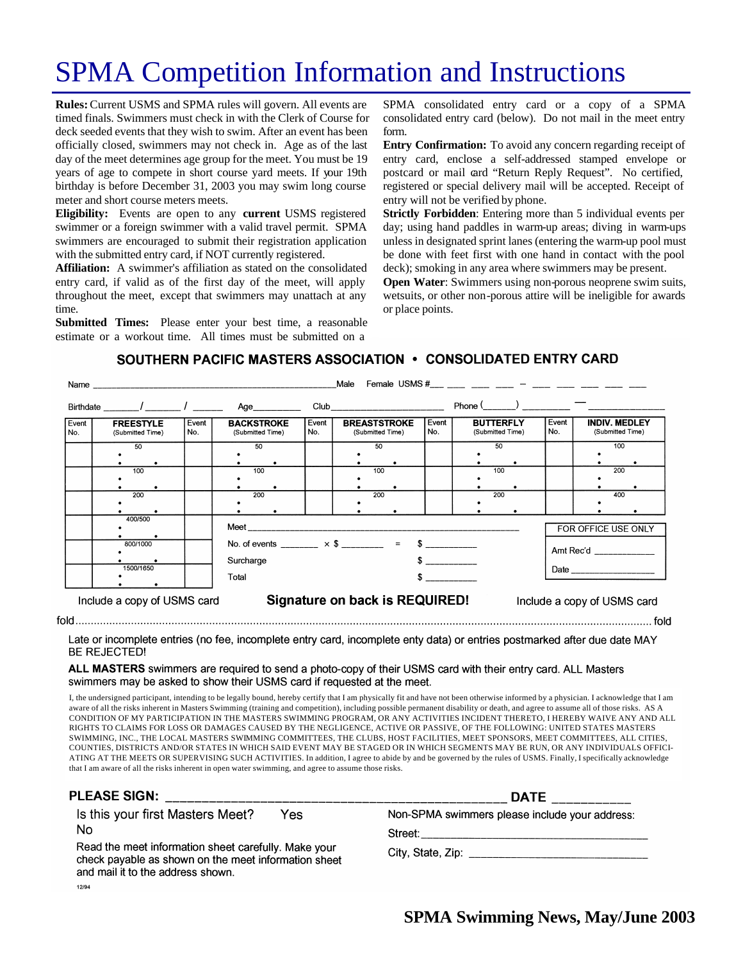# SPMA Competition Information and Instructions

**Rules:** Current USMS and SPMA rules will govern. All events are timed finals. Swimmers must check in with the Clerk of Course for deck seeded events that they wish to swim. After an event has been officially closed, swimmers may not check in. Age as of the last day of the meet determines age group for the meet. You must be 19 years of age to compete in short course yard meets. If your 19th birthday is before December 31, 2003 you may swim long course meter and short course meters meets.

**Eligibility:** Events are open to any **current** USMS registered swimmer or a foreign swimmer with a valid travel permit. SPMA swimmers are encouraged to submit their registration application with the submitted entry card, if NOT currently registered.

**Affiliation:** A swimmer's affiliation as stated on the consolidated entry card, if valid as of the first day of the meet, will apply throughout the meet, except that swimmers may unattach at any time.

**Submitted Times:** Please enter your best time, a reasonable estimate or a workout time. All times must be submitted on a

SPMA consolidated entry card or a copy of a SPMA consolidated entry card (below). Do not mail in the meet entry form.

**Entry Confirmation:** To avoid any concern regarding receipt of entry card, enclose a self-addressed stamped envelope or postcard or mail card "Return Reply Request". No certified, registered or special delivery mail will be accepted. Receipt of entry will not be verified by phone.

**Strictly Forbidden**: Entering more than 5 individual events per day; using hand paddles in warm-up areas; diving in warm-ups unless in designated sprint lanes (entering the warm-up pool must be done with feet first with one hand in contact with the pool deck); smoking in any area where swimmers may be present.

**Open Water:** Swimmers using non-porous neoprene swim suits, wetsuits, or other non-porous attire will be ineligible for awards or place points.

### SOUTHERN PACIFIC MASTERS ASSOCIATION . CONSOLIDATED ENTRY CARD

| Name and the contract of the contract of the contract of the contract of the contract of the contract of the contract of the contract of the contract of the contract of the contract of the contract of the contract of the c |               |                                      |                             |                                       | Male                                                         | Female USMS $#$ $  -$      |                                         |                                |              |                                      |  |              |                                          |                             |  |
|--------------------------------------------------------------------------------------------------------------------------------------------------------------------------------------------------------------------------------|---------------|--------------------------------------|-----------------------------|---------------------------------------|--------------------------------------------------------------|----------------------------|-----------------------------------------|--------------------------------|--------------|--------------------------------------|--|--------------|------------------------------------------|-----------------------------|--|
|                                                                                                                                                                                                                                | Birthdate / / |                                      |                             | Age                                   |                                                              | <b>Club Club Club Club</b> |                                         | Phone $(\_\_)$                 |              |                                      |  |              |                                          |                             |  |
| Event<br>No.                                                                                                                                                                                                                   |               | <b>FREESTYLE</b><br>(Submitted Time) |                             | <b>BACKSTROKE</b><br>(Submitted Time) |                                                              | Event<br>No.               | <b>BREASTSTROKE</b><br>(Submitted Time) |                                | Event<br>No. | <b>BUTTERFLY</b><br>(Submitted Time) |  | Event<br>No. | <b>INDIV. MEDLEY</b><br>(Submitted Time) |                             |  |
|                                                                                                                                                                                                                                | 50            |                                      |                             | 50                                    |                                                              |                            | 50                                      |                                |              | 50                                   |  |              | 100                                      |                             |  |
|                                                                                                                                                                                                                                |               |                                      |                             |                                       |                                                              |                            |                                         |                                |              |                                      |  |              |                                          |                             |  |
|                                                                                                                                                                                                                                | 100           |                                      |                             | 100                                   |                                                              |                            | 100                                     |                                |              | 100                                  |  |              | 200                                      |                             |  |
|                                                                                                                                                                                                                                |               |                                      |                             |                                       |                                                              |                            |                                         |                                |              |                                      |  |              |                                          |                             |  |
|                                                                                                                                                                                                                                |               |                                      |                             |                                       |                                                              |                            |                                         |                                |              |                                      |  |              |                                          |                             |  |
|                                                                                                                                                                                                                                | 200           |                                      |                             | 200                                   |                                                              |                            | 200                                     |                                |              | 200                                  |  |              | 400                                      |                             |  |
|                                                                                                                                                                                                                                |               |                                      |                             |                                       |                                                              |                            |                                         |                                |              |                                      |  |              |                                          |                             |  |
|                                                                                                                                                                                                                                |               |                                      |                             |                                       |                                                              |                            |                                         |                                |              |                                      |  |              |                                          |                             |  |
|                                                                                                                                                                                                                                | 400/500       |                                      |                             | <b>Meet Meet</b>                      |                                                              |                            |                                         |                                |              |                                      |  |              | FOR OFFICE USE ONLY                      |                             |  |
|                                                                                                                                                                                                                                |               |                                      |                             |                                       |                                                              |                            |                                         |                                |              |                                      |  |              |                                          |                             |  |
|                                                                                                                                                                                                                                |               |                                      |                             |                                       |                                                              |                            |                                         |                                |              |                                      |  |              |                                          |                             |  |
|                                                                                                                                                                                                                                |               | 800/1000                             |                             |                                       | No. of events _________ $\times$ \$ ________ = \$ __________ |                            |                                         |                                |              |                                      |  |              | Amt Rec'd                                |                             |  |
|                                                                                                                                                                                                                                | 1500/1650     |                                      |                             |                                       |                                                              |                            |                                         |                                |              |                                      |  |              |                                          |                             |  |
|                                                                                                                                                                                                                                |               |                                      |                             | Surcharge<br>$$$ _________            |                                                              |                            |                                         |                                |              |                                      |  |              |                                          |                             |  |
|                                                                                                                                                                                                                                |               |                                      |                             |                                       |                                                              |                            |                                         |                                |              |                                      |  |              |                                          |                             |  |
|                                                                                                                                                                                                                                |               |                                      |                             | Total                                 |                                                              |                            |                                         |                                |              |                                      |  |              |                                          |                             |  |
|                                                                                                                                                                                                                                |               |                                      |                             |                                       |                                                              |                            |                                         |                                |              |                                      |  |              |                                          |                             |  |
|                                                                                                                                                                                                                                |               |                                      | Include a copy of USMS card |                                       |                                                              |                            |                                         | Signature on back is REQUIRED! |              |                                      |  |              |                                          | Include a copy of USMS card |  |

Late or incomplete entries (no fee, incomplete entry card, incomplete enty data) or entries postmarked after due date MAY BE REJECTED!

#### ALL MASTERS swimmers are required to send a photo-copy of their USMS card with their entry card. ALL Masters swimmers may be asked to show their USMS card if requested at the meet.

I, the undersigned participant, intending to be legally bound, hereby certify that I am physically fit and have not been otherwise informed by a physician. I acknowledge that I am aware of all the risks inherent in Masters Swimming (training and competition), including possible permanent disability or death, and agree to assume all of those risks. AS A CONDITION OF MY PARTICIPATION IN THE MASTERS SWIMMING PROGRAM, OR ANY ACTIVITIES INCIDENT THERETO, I HEREBY WAIVE ANY AND ALL RIGHTS TO CLAIMS FOR LOSS OR DAMAGES CAUSED BY THE NEGLIGENCE, ACTIVE OR PASSIVE, OF THE FOLLOWING: UNITED STATES MASTERS SWIMMING, INC., THE LOCAL MASTERS SWIMMING COMMITTEES, THE CLUBS, HOST FACILITIES, MEET SPONSORS, MEET COMMITTEES, ALL CITIES, COUNTIES, DISTRICTS AND/OR STATES IN WHICH SAID EVENT MAY BE STAGED OR IN WHICH SEGMENTS MAY BE RUN, OR ANY INDIVIDUALS OFFICI-ATING AT THE MEETS OR SUPERVISING SUCH ACTIVITIES. In addition, I agree to abide by and be governed by the rules of USMS. Finally, I specifically acknowledge that I am aware of all the risks inherent in open water swimming, and agree to assume those risks.

| <b>PLEASE SIGN:</b>                                                                                                                               | <b>DATE</b>                                    |  |  |  |  |
|---------------------------------------------------------------------------------------------------------------------------------------------------|------------------------------------------------|--|--|--|--|
| Is this your first Masters Meet?<br>Yes                                                                                                           | Non-SPMA swimmers please include your address: |  |  |  |  |
| No                                                                                                                                                | Street:                                        |  |  |  |  |
| Read the meet information sheet carefully. Make your<br>check payable as shown on the meet information sheet<br>and mail it to the address shown. | City, State, Zip: City, State, 2014            |  |  |  |  |
| 1210A                                                                                                                                             |                                                |  |  |  |  |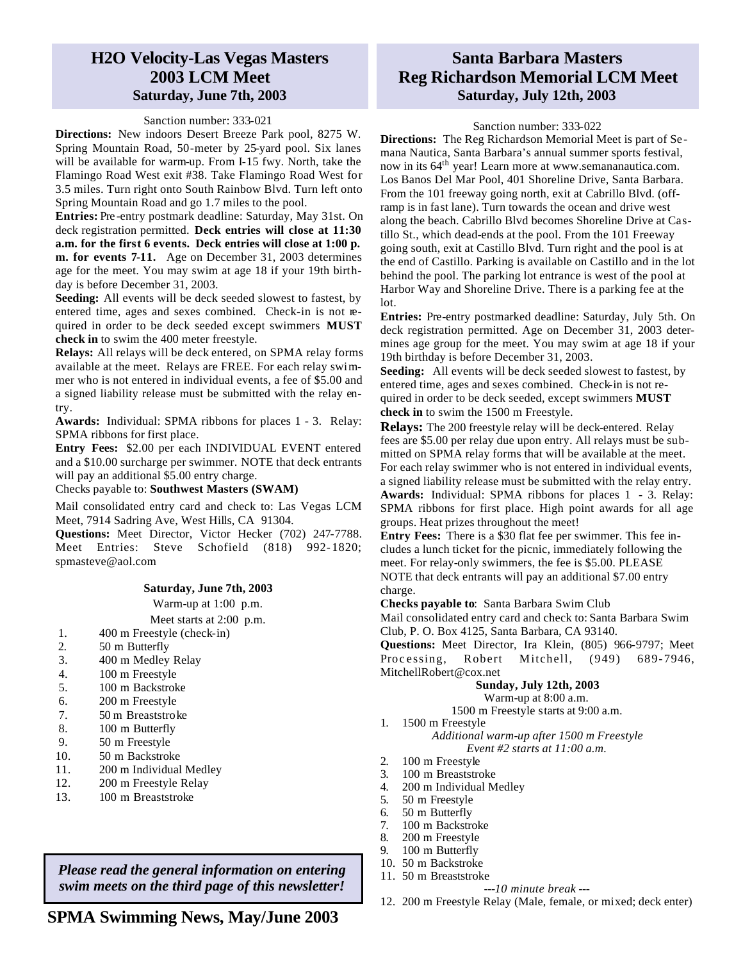### **H2O Velocity-Las Vegas Masters 2003 LCM Meet Saturday, June 7th, 2003**

#### Sanction number: 333-021

**Directions:** New indoors Desert Breeze Park pool, 8275 W. Spring Mountain Road, 50-meter by 25-yard pool. Six lanes will be available for warm-up. From I-15 fwy. North, take the Flamingo Road West exit #38. Take Flamingo Road West for 3.5 miles. Turn right onto South Rainbow Blvd. Turn left onto Spring Mountain Road and go 1.7 miles to the pool.

**Entries:** Pre -entry postmark deadline: Saturday, May 31st. On deck registration permitted. **Deck entries will close at 11:30 a.m. for the first 6 events. Deck entries will close at 1:00 p. m. for events 7-11.** Age on December 31, 2003 determines age for the meet. You may swim at age 18 if your 19th birthday is before December 31, 2003.

**Seeding:** All events will be deck seeded slowest to fastest, by entered time, ages and sexes combined. Check-in is not required in order to be deck seeded except swimmers **MUST check in** to swim the 400 meter freestyle.

**Relays:** All relays will be deck entered, on SPMA relay forms available at the meet. Relays are FREE. For each relay swimmer who is not entered in individual events, a fee of \$5.00 and a signed liability release must be submitted with the relay entry.

**Awards:** Individual: SPMA ribbons for places 1 - 3. Relay: SPMA ribbons for first place.

**Entry Fees:** \$2.00 per each INDIVIDUAL EVENT entered and a \$10.00 surcharge per swimmer. NOTE that deck entrants will pay an additional \$5.00 entry charge.

#### Checks payable to: **Southwest Masters (SWAM)**

Mail consolidated entry card and check to: Las Vegas LCM Meet, 7914 Sadring Ave, West Hills, CA 91304.

**Questions:** Meet Director, Victor Hecker (702) 247-7788. Meet Entries: Steve Schofield (818) 992- 1820; spmasteve@aol.com

#### **Saturday, June 7th, 2003**

Warm-up at 1:00 p.m.

Meet starts at 2:00 p.m.

- 1. 400 m Freestyle (check-in)
- 2.50 m Butterfly
- 3. 400 m Medley Relay
- 4. 100 m Freestyle
- 5. 100 m Backstroke
- 6. 200 m Freestyle
- 7. 50 m Breaststroke
- 8. 100 m Butterfly
- 9. 50 m Freestyle
- 10. 50 m Backstroke
- 11. 200 m Individual Medley
- 12. 200 m Freestyle Relay
- 13. 100 m Breaststroke

*Please read the general information on entering swim meets on the third page of this newsletter!*

### **SPMA Swimming News, May/June 2003**

## **Santa Barbara Masters Reg Richardson Memorial LCM Meet Saturday, July 12th, 2003**

### Sanction number: 333-022

**Directions:** The Reg Richardson Memorial Meet is part of Semana Nautica, Santa Barbara's annual summer sports festival, now in its 64th year! Learn more at www.semananautica.com. Los Banos Del Mar Pool, 401 Shoreline Drive, Santa Barbara. From the 101 freeway going north, exit at Cabrillo Blvd. (offramp is in fast lane). Turn towards the ocean and drive west along the beach. Cabrillo Blvd becomes Shoreline Drive at Castillo St., which dead-ends at the pool. From the 101 Freeway going south, exit at Castillo Blvd. Turn right and the pool is at the end of Castillo. Parking is available on Castillo and in the lot behind the pool. The parking lot entrance is west of the pool at Harbor Way and Shoreline Drive. There is a parking fee at the lot.

**Entries:** Pre-entry postmarked deadline: Saturday, July 5th. On deck registration permitted. Age on December 31, 2003 determines age group for the meet. You may swim at age 18 if your 19th birthday is before December 31, 2003.

**Seeding:** All events will be deck seeded slowest to fastest, by entered time, ages and sexes combined. Check-in is not required in order to be deck seeded, except swimmers **MUST check in** to swim the 1500 m Freestyle.

**Relays:** The 200 freestyle relay will be deck-entered. Relay fees are \$5.00 per relay due upon entry. All relays must be submitted on SPMA relay forms that will be available at the meet. For each relay swimmer who is not entered in individual events, a signed liability release must be submitted with the relay entry. **Awards:** Individual: SPMA ribbons for places 1 - 3. Relay: SPMA ribbons for first place. High point awards for all age groups. Heat prizes throughout the meet!

**Entry Fees:** There is a \$30 flat fee per swimmer. This fee includes a lunch ticket for the picnic, immediately following the meet. For relay-only swimmers, the fee is \$5.00. PLEASE NOTE that deck entrants will pay an additional \$7.00 entry charge.

**Checks payable to**: Santa Barbara Swim Club Mail consolidated entry card and check to: Santa Barbara Swim Club, P. O. Box 4125, Santa Barbara, CA 93140.

**Questions:** Meet Director, Ira Klein, (805) 966-9797; Meet Processing, Robert Mitchell, (949) 689-7946, MitchellRobert@cox.net

### **Sunday, July 12th, 2003**

Warm-up at 8:00 a.m. 1500 m Freestyle starts at 9:00 a.m.

1. 1500 m Freestyle

### *Additional warm-up after 1500 m Freestyle Event #2 starts at 11:00 a.m.*

- 2. 100 m Freestyle<br>3. 100 m Breaststro
- 3. 100 m Breaststroke
- 4. 200 m Individual Medley<br>5. 50 m Freestyle
- 50 m Freestyle
- 6. 50 m Butterfly
- 7. 100 m Backstroke
- 8. 200 m Freestyle
- 9. 100 m Butterfly
- 10. 50 m Backstroke 11. 50 m Breaststroke
	- - *---10 minute break ---*
- 12. 200 m Freestyle Relay (Male, female, or mixed; deck enter)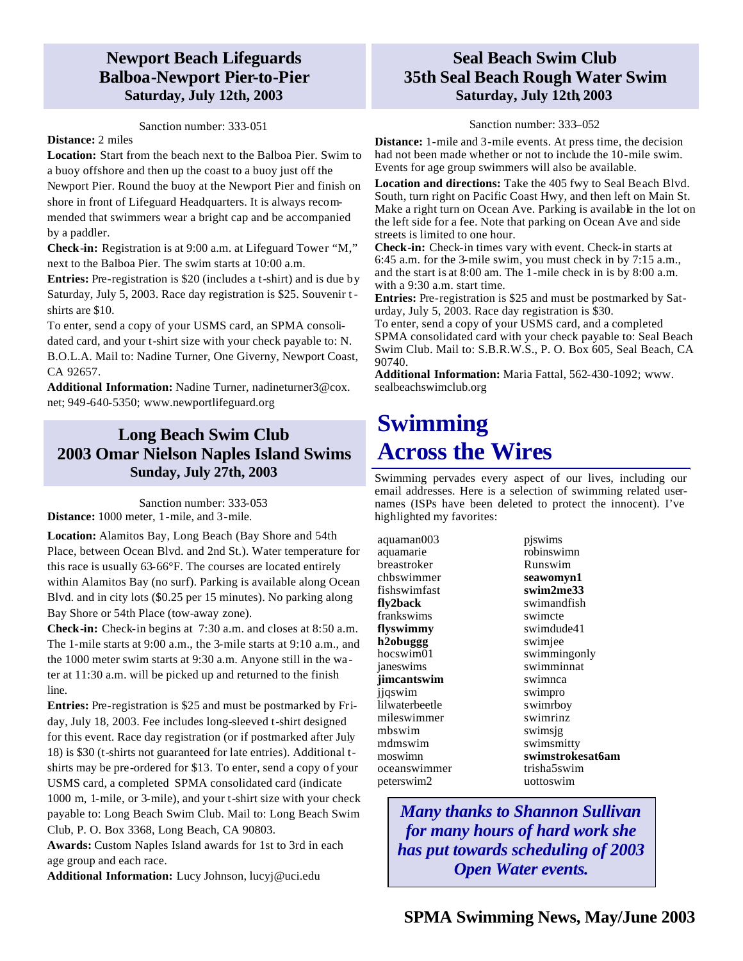## **Newport Beach Lifeguards Balboa-Newport Pier-to-Pier Saturday, July 12th, 2003**

### Sanction number: 333-051

### **Distance:** 2 miles

**Location:** Start from the beach next to the Balboa Pier. Swim to a buoy offshore and then up the coast to a buoy just off the Newport Pier. Round the buoy at the Newport Pier and finish on shore in front of Lifeguard Headquarters. It is always recommended that swimmers wear a bright cap and be accompanied by a paddler.

**Check-in:** Registration is at 9:00 a.m. at Lifeguard Tower "M," next to the Balboa Pier. The swim starts at 10:00 a.m.

**Entries:** Pre-registration is \$20 (includes a t-shirt) and is due by Saturday, July 5, 2003. Race day registration is \$25. Souvenir tshirts are \$10.

To enter, send a copy of your USMS card, an SPMA consolidated card, and your t-shirt size with your check payable to: N. B.O.L.A. Mail to: Nadine Turner, One Giverny, Newport Coast, CA 92657.

**Additional Information:** Nadine Turner, nadineturner3@cox. net; 949-640-5350; www.newportlifeguard.org

## **Long Beach Swim Club 2003 Omar Nielson Naples Island Swims Sunday, July 27th, 2003**

Sanction number: 333-053 **Distance:** 1000 meter, 1-mile, and 3-mile.

**Location:** Alamitos Bay, Long Beach (Bay Shore and 54th Place, between Ocean Blvd. and 2nd St.). Water temperature for this race is usually 63-66°F. The courses are located entirely within Alamitos Bay (no surf). Parking is available along Ocean Blvd. and in city lots (\$0.25 per 15 minutes). No parking along Bay Shore or 54th Place (tow-away zone).

**Check-in:** Check-in begins at 7:30 a.m. and closes at 8:50 a.m. The 1-mile starts at 9:00 a.m., the 3-mile starts at 9:10 a.m., and the 1000 meter swim starts at 9:30 a.m. Anyone still in the water at 11:30 a.m. will be picked up and returned to the finish line.

**Entries:** Pre-registration is \$25 and must be postmarked by Friday, July 18, 2003. Fee includes long-sleeved t-shirt designed for this event. Race day registration (or if postmarked after July 18) is \$30 (t-shirts not guaranteed for late entries). Additional tshirts may be pre-ordered for \$13. To enter, send a copy of your USMS card, a completed SPMA consolidated card (indicate 1000 m, 1-mile, or 3-mile), and your t-shirt size with your check payable to: Long Beach Swim Club. Mail to: Long Beach Swim Club, P. O. Box 3368, Long Beach, CA 90803.

**Awards:** Custom Naples Island awards for 1st to 3rd in each age group and each race.

**Additional Information:** Lucy Johnson, lucyj@uci.edu

## **Seal Beach Swim Club 35th Seal Beach Rough Water Swim Saturday, July 12th, 2003**

#### Sanction number: 333–052

**Distance:** 1-mile and 3-mile events. At press time, the decision had not been made whether or not to include the 10-mile swim. Events for age group swimmers will also be available.

**Location and directions:** Take the 405 fwy to Seal Beach Blvd. South, turn right on Pacific Coast Hwy, and then left on Main St. Make a right turn on Ocean Ave. Parking is available in the lot on the left side for a fee. Note that parking on Ocean Ave and side streets is limited to one hour.

**Check-in:** Check-in times vary with event. Check-in starts at 6:45 a.m. for the 3-mile swim, you must check in by 7:15 a.m., and the start is at 8:00 am. The 1-mile check in is by 8:00 a.m. with a 9:30 a.m. start time.

**Entries:** Pre-registration is \$25 and must be postmarked by Saturday, July 5, 2003. Race day registration is \$30.

To enter, send a copy of your USMS card, and a completed SPMA consolidated card with your check payable to: Seal Beach Swim Club. Mail to: S.B.R.W.S., P. O. Box 605, Seal Beach, CA 90740.

**Additional Information:** Maria Fattal, 562-430-1092; www. sealbeachswimclub.org

## **Swimming Across the Wires**

Swimming pervades every aspect of our lives, including our email addresses. Here is a selection of swimming related usernames (ISPs have been deleted to protect the innocent). I've highlighted my favorites:

aquaman003 aquamarie breastroker chbswimmer fishswimfast **fly2back** frankswims **flyswimmy h2obuggg** hocswim01 janeswims **jimcantswim** jjqswim lilwaterbeetle mileswimmer mbswim mdmswim moswimn oceanswimmer peterswim2

pjswims robinswimn Runswim **seawomyn1 swim2me33** swimandfish swimcte swimdude41 swimjee swimmingonly swimminnat swimnca swimpro swimrboy swimrinz swimsjg swimsmitty **swimstrokesat6am** trisha5swim uottoswim

*Many thanks to Shannon Sullivan for many hours of hard work she has put towards scheduling of 2003 Open Water events.*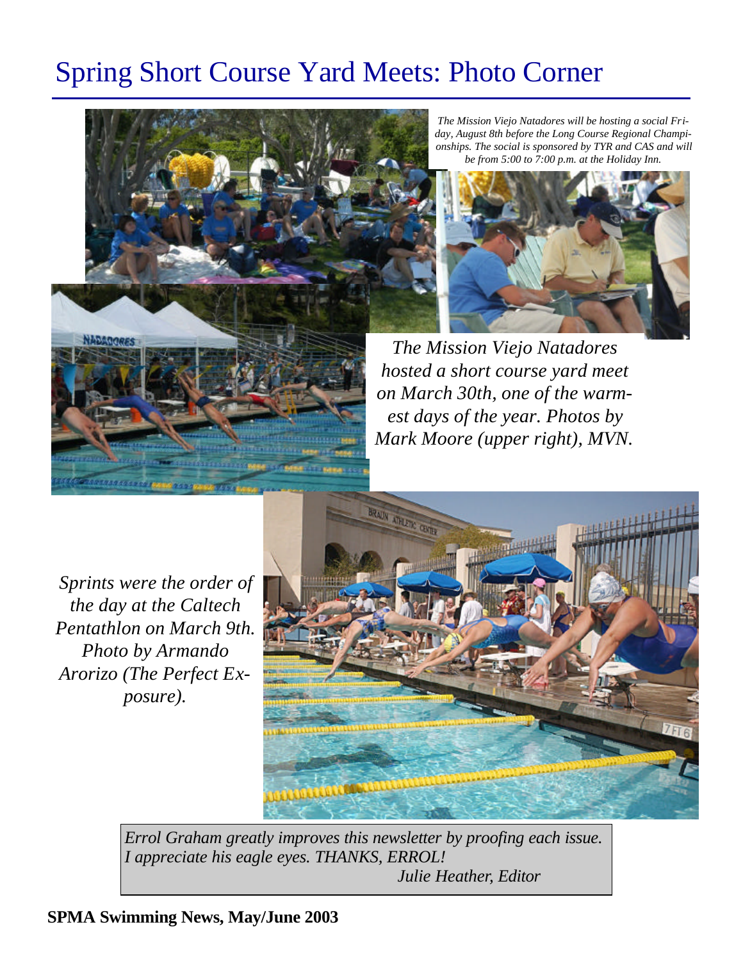# Spring Short Course Yard Meets: Photo Corner



*The Mission Viejo Natadores will be hosting a social Friday, August 8th before the Long Course Regional Championships. The social is sponsored by TYR and CAS and will be from 5:00 to 7:00 p.m. at the Holiday Inn.*



*The Mission Viejo Natadores hosted a short course yard meet on March 30th, one of the warmest days of the year. Photos by Mark Moore (upper right), MVN.*

*Sprints were the order of the day at the Caltech Pentathlon on March 9th. Photo by Armando Arorizo (The Perfect Exposure).*



*Errol Graham greatly improves this newsletter by proofing each issue. I appreciate his eagle eyes. THANKS, ERROL! Julie Heather, Editor*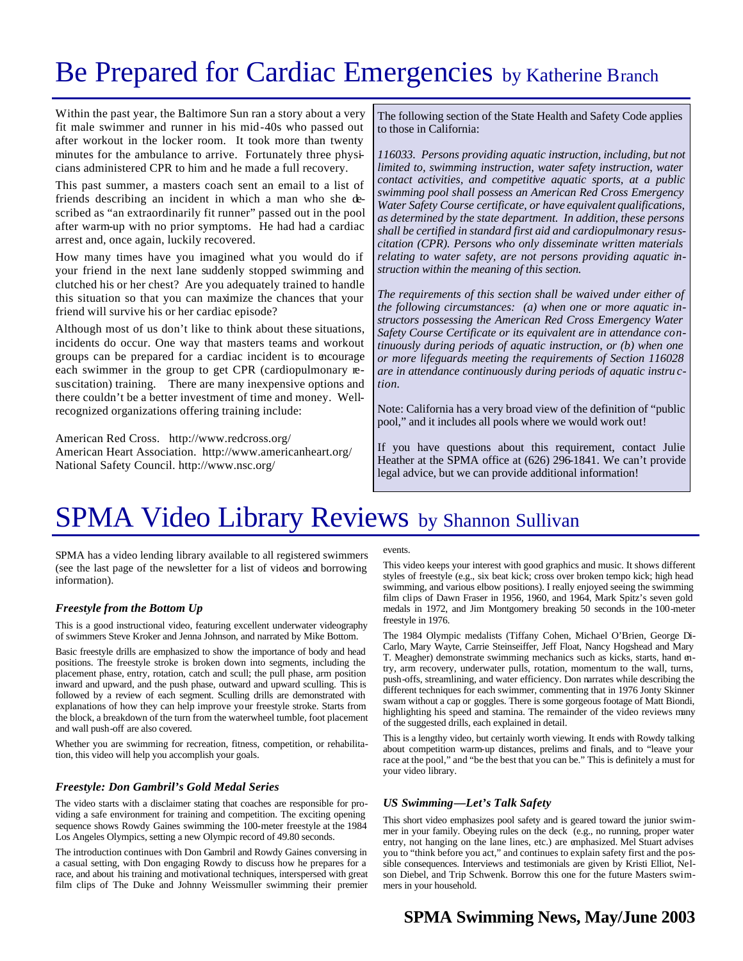## Be Prepared for Cardiac Emergencies by Katherine Branch

Within the past year, the Baltimore Sun ran a story about a very fit male swimmer and runner in his mid-40s who passed out after workout in the locker room. It took more than twenty minutes for the ambulance to arrive. Fortunately three physicians administered CPR to him and he made a full recovery.

This past summer, a masters coach sent an email to a list of friends describing an incident in which a man who she described as "an extraordinarily fit runner" passed out in the pool after warm-up with no prior symptoms. He had had a cardiac arrest and, once again, luckily recovered.

How many times have you imagined what you would do if your friend in the next lane suddenly stopped swimming and clutched his or her chest? Are you adequately trained to handle this situation so that you can maximize the chances that your friend will survive his or her cardiac episode?

Although most of us don't like to think about these situations, incidents do occur. One way that masters teams and workout groups can be prepared for a cardiac incident is to encourage each swimmer in the group to get CPR (cardiopulmonary resuscitation) training. There are many inexpensive options and there couldn't be a better investment of time and money. Wellrecognized organizations offering training include:

American Red Cross. http://www.redcross.org/ American Heart Association. http://www.americanheart.org/ National Safety Council. http://www.nsc.org/

The following section of the State Health and Safety Code applies to those in California:

*116033. Persons providing aquatic instruction, including, but not limited to, swimming instruction, water safety instruction, water contact activities, and competitive aquatic sports, at a public swimming pool shall possess an American Red Cross Emergency Water Safety Course certificate, or have equivalent qualifications, as determined by the state department. In addition, these persons shall be certified in standard first aid and cardiopulmonary resuscitation (CPR). Persons who only disseminate written materials relating to water safety, are not persons providing aquatic instruction within the meaning of this section.*

*The requirements of this section shall be waived under either of the following circumstances: (a) when one or more aquatic instructors possessing the American Red Cross Emergency Water Safety Course Certificate or its equivalent are in attendance continuously during periods of aquatic instruction, or (b) when one or more lifeguards meeting the requirements of Section 116028 are in attendance continuously during periods of aquatic instru ction.*

Note: California has a very broad view of the definition of "public pool," and it includes all pools where we would work out!

If you have questions about this requirement, contact Julie Heather at the SPMA office at (626) 296-1841. We can't provide legal advice, but we can provide additional information!

## SPMA Video Library Reviews by Shannon Sullivan

SPMA has a video lending library available to all registered swimmers (see the last page of the newsletter for a list of videos and borrowing information).

#### *Freestyle from the Bottom Up*

This is a good instructional video, featuring excellent underwater videography of swimmers Steve Kroker and Jenna Johnson, and narrated by Mike Bottom.

Basic freestyle drills are emphasized to show the importance of body and head positions. The freestyle stroke is broken down into segments, including the placement phase, entry, rotation, catch and scull; the pull phase, arm position inward and upward, and the push phase, outward and upward sculling. This is followed by a review of each segment. Sculling drills are demonstrated with explanations of how they can help improve your freestyle stroke. Starts from the block, a breakdown of the turn from the waterwheel tumble, foot placement and wall push-off are also covered.

Whether you are swimming for recreation, fitness, competition, or rehabilitation, this video will help you accomplish your goals.

#### *Freestyle: Don Gambril's Gold Medal Series*

The video starts with a disclaimer stating that coaches are responsible for providing a safe environment for training and competition. The exciting opening sequence shows Rowdy Gaines swimming the 100-meter freestyle at the 1984 Los Angeles Olympics, setting a new Olympic record of 49.80 seconds.

The introduction continues with Don Gambril and Rowdy Gaines conversing in a casual setting, with Don engaging Rowdy to discuss how he prepares for a race, and about his training and motivational techniques, interspersed with great film clips of The Duke and Johnny Weissmuller swimming their premier events.

This video keeps your interest with good graphics and music. It shows different styles of freestyle (e.g., six beat kick; cross over broken tempo kick; high head swimming, and various elbow positions). I really enjoyed seeing the swimming film clips of Dawn Fraser in 1956, 1960, and 1964, Mark Spitz's seven gold medals in 1972, and Jim Montgomery breaking 50 seconds in the 100-meter freestyle in 1976.

The 1984 Olympic medalists (Tiffany Cohen, Michael O'Brien, George Di-Carlo, Mary Wayte, Carrie Steinseiffer, Jeff Float, Nancy Hogshead and Mary T. Meagher) demonstrate swimming mechanics such as kicks, starts, hand entry, arm recovery, underwater pulls, rotation, momentum to the wall, turns, push-offs, streamlining, and water efficiency. Don narrates while describing the different techniques for each swimmer, commenting that in 1976 Jonty Skinner swam without a cap or goggles. There is some gorgeous footage of Matt Biondi, highlighting his speed and stamina. The remainder of the video reviews many of the suggested drills, each explained in detail.

This is a lengthy video, but certainly worth viewing. It ends with Rowdy talking about competition warm-up distances, prelims and finals, and to "leave your race at the pool," and "be the best that you can be." This is definitely a must for your video library.

#### *US Swimming—Let's Talk Safety*

This short video emphasizes pool safety and is geared toward the junior swimmer in your family. Obeying rules on the deck (e.g., no running, proper water entry, not hanging on the lane lines, etc.) are emphasized. Mel Stuart advises you to "think before you act," and continues to explain safety first and the possible consequences. Interviews and testimonials are given by Kristi Elliot, Nelson Diebel, and Trip Schwenk. Borrow this one for the future Masters swimmers in your household.